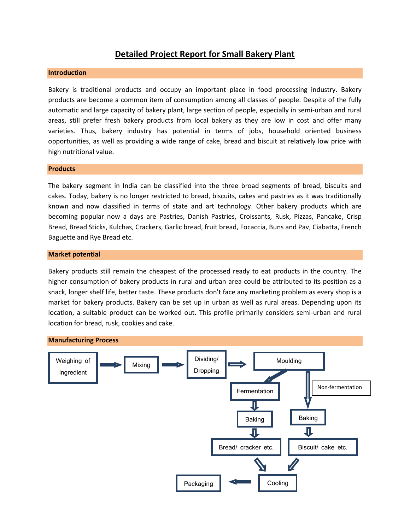## **Detailed Project Report for Small Bakery Plant**

#### **Introduction**

Bakery is traditional products and occupy an important place in food processing industry. Bakery products are become a common item of consumption among all classes of people. Despite of the fully automatic and large capacity of bakery plant, large section of people, especially in semi-urban and rural areas, still prefer fresh bakery products from local bakery as they are low in cost and offer many varieties. Thus, bakery industry has potential in terms of jobs, household oriented business opportunities, as well as providing a wide range of cake, bread and biscuit at relatively low price with high nutritional value.

#### **Products**

The bakery segment in India can be classified into the three broad segments of bread, biscuits and cakes. Today, bakery is no longer restricted to bread, biscuits, cakes and pastries as it was traditionally known and now classified in terms of state and art technology. Other bakery products which are becoming popular now a days are Pastries, Danish Pastries, Croissants, Rusk, Pizzas, Pancake, Crisp Bread, Bread Sticks, Kulchas, Crackers, Garlic bread, fruit bread, Focaccia, Buns and Pav, Ciabatta, French Baguette and Rye Bread etc.

#### **Market potential**

Bakery products still remain the cheapest of the processed ready to eat products in the country. The higher consumption of bakery products in rural and urban area could be attributed to its position as a snack, longer shelf life, better taste. These products don't face any marketing problem as every shop is a market for bakery products. Bakery can be set up in urban as well as rural areas. Depending upon its location, a suitable product can be worked out. This profile primarily considers semi-urban and rural location for bread, rusk, cookies and cake.

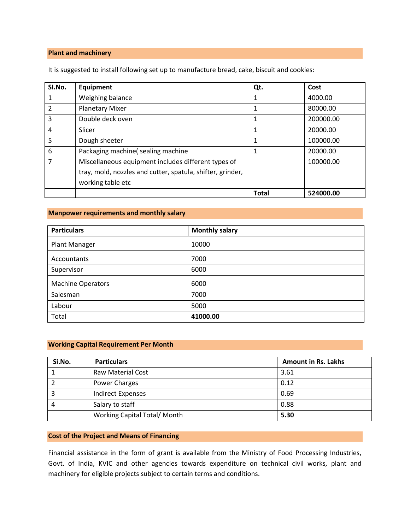### **Plant and machinery**

It is suggested to install following set up to manufacture bread, cake, biscuit and cookies:

| SI.No.         | Equipment                                                  | Qt.          | Cost      |
|----------------|------------------------------------------------------------|--------------|-----------|
|                | Weighing balance                                           |              | 4000.00   |
| $\overline{2}$ | <b>Planetary Mixer</b>                                     |              | 80000.00  |
| 3              | Double deck oven                                           |              | 200000.00 |
| 4              | Slicer                                                     |              | 20000.00  |
| 5              | Dough sheeter                                              |              | 100000.00 |
| 6              | Packaging machine(sealing machine                          |              | 20000.00  |
|                | Miscellaneous equipment includes different types of        |              | 100000.00 |
|                | tray, mold, nozzles and cutter, spatula, shifter, grinder, |              |           |
|                | working table etc                                          |              |           |
|                |                                                            | <b>Total</b> | 524000.00 |

#### **Manpower requirements and monthly salary**

| <b>Particulars</b>       | <b>Monthly salary</b> |
|--------------------------|-----------------------|
| Plant Manager            | 10000                 |
| <b>Accountants</b>       | 7000                  |
| Supervisor               | 6000                  |
| <b>Machine Operators</b> | 6000                  |
| Salesman                 | 7000                  |
| Labour                   | 5000                  |
| Total                    | 41000.00              |

#### **Working Capital Requirement Per Month**

| Si.No. | <b>Particulars</b>          | <b>Amount in Rs. Lakhs</b> |
|--------|-----------------------------|----------------------------|
|        | <b>Raw Material Cost</b>    | 3.61                       |
|        | Power Charges               | 0.12                       |
|        | <b>Indirect Expenses</b>    | 0.69                       |
| 4      | Salary to staff             | 0.88                       |
|        | Working Capital Total/Month | 5.30                       |

#### **Cost of the Project and Means of Financing**

Financial assistance in the form of grant is available from the Ministry of Food Processing Industries, Govt. of India, KVIC and other agencies towards expenditure on technical civil works, plant and machinery for eligible projects subject to certain terms and conditions.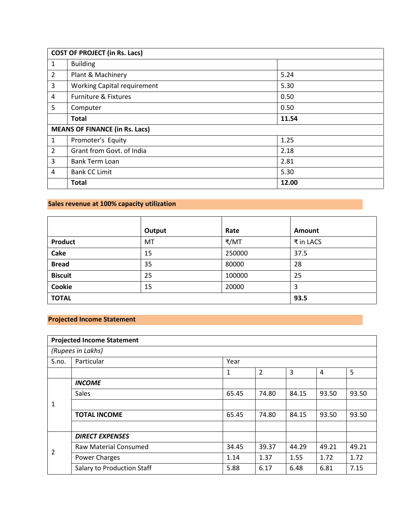| <b>COST OF PROJECT (in Rs. Lacs)</b> |                                       |       |  |  |
|--------------------------------------|---------------------------------------|-------|--|--|
| 1                                    | <b>Building</b>                       |       |  |  |
| $\overline{2}$                       | Plant & Machinery                     | 5.24  |  |  |
| 3                                    | <b>Working Capital requirement</b>    | 5.30  |  |  |
| 4                                    | <b>Furniture &amp; Fixtures</b>       | 0.50  |  |  |
| 5                                    | Computer                              | 0.50  |  |  |
|                                      | <b>Total</b>                          | 11.54 |  |  |
|                                      | <b>MEANS OF FINANCE (in Rs. Lacs)</b> |       |  |  |
| 1                                    | Promoter's Equity                     | 1.25  |  |  |
| $\overline{2}$                       | Grant from Govt. of India             | 2.18  |  |  |
| 3                                    | <b>Bank Term Loan</b>                 | 2.81  |  |  |
| 4                                    | <b>Bank CC Limit</b>                  | 5.30  |  |  |
|                                      | <b>Total</b>                          | 12.00 |  |  |

# **Sales revenue at 100% capacity utilization**

|                | Output | Rate   | Amount    |
|----------------|--------|--------|-----------|
| <b>Product</b> | MT     | ₹/MT   | ₹ in LACS |
| Cake           | 15     | 250000 | 37.5      |
| <b>Bread</b>   | 35     | 80000  | 28        |
| <b>Biscuit</b> | 25     | 100000 | 25        |
| Cookie         | 15     | 20000  | 3         |
| <b>TOTAL</b>   |        |        | 93.5      |

### **Projected Income Statement**

| <b>Projected Income Statement</b> |                                   |       |                |       |                |       |
|-----------------------------------|-----------------------------------|-------|----------------|-------|----------------|-------|
| (Rupees in Lakhs)                 |                                   |       |                |       |                |       |
| S.no.                             | Particular                        | Year  |                |       |                |       |
|                                   |                                   | 1     | $\overline{2}$ | 3     | $\overline{4}$ | 5     |
|                                   | <b>INCOME</b>                     |       |                |       |                |       |
|                                   | Sales                             | 65.45 | 74.80          | 84.15 | 93.50          | 93.50 |
| 1                                 |                                   |       |                |       |                |       |
|                                   | <b>TOTAL INCOME</b>               | 65.45 | 74.80          | 84.15 | 93.50          | 93.50 |
|                                   |                                   |       |                |       |                |       |
| $\overline{2}$                    | <b>DIRECT EXPENSES</b>            |       |                |       |                |       |
|                                   | <b>Raw Material Consumed</b>      | 34.45 | 39.37          | 44.29 | 49.21          | 49.21 |
|                                   | <b>Power Charges</b>              | 1.14  | 1.37           | 1.55  | 1.72           | 1.72  |
|                                   | <b>Salary to Production Staff</b> | 5.88  | 6.17           | 6.48  | 6.81           | 7.15  |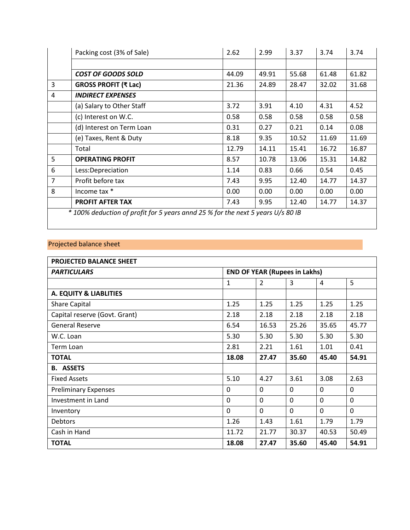|                | Packing cost (3% of Sale)                                                       | 2.62  | 2.99  | 3.37  | 3.74  | 3.74  |
|----------------|---------------------------------------------------------------------------------|-------|-------|-------|-------|-------|
|                |                                                                                 |       |       |       |       |       |
|                | <b>COST OF GOODS SOLD</b>                                                       | 44.09 | 49.91 | 55.68 | 61.48 | 61.82 |
| 3              | GROSS PROFIT (₹ Lac)                                                            | 21.36 | 24.89 | 28.47 | 32.02 | 31.68 |
| 4              | <b>INDIRECT EXPENSES</b>                                                        |       |       |       |       |       |
|                | (a) Salary to Other Staff                                                       | 3.72  | 3.91  | 4.10  | 4.31  | 4.52  |
|                | (c) Interest on W.C.                                                            | 0.58  | 0.58  | 0.58  | 0.58  | 0.58  |
|                | (d) Interest on Term Loan                                                       | 0.31  | 0.27  | 0.21  | 0.14  | 0.08  |
|                | (e) Taxes, Rent & Duty                                                          | 8.18  | 9.35  | 10.52 | 11.69 | 11.69 |
|                | Total                                                                           | 12.79 | 14.11 | 15.41 | 16.72 | 16.87 |
| 5              | <b>OPERATING PROFIT</b>                                                         | 8.57  | 10.78 | 13.06 | 15.31 | 14.82 |
| 6              | Less:Depreciation                                                               | 1.14  | 0.83  | 0.66  | 0.54  | 0.45  |
| $\overline{7}$ | Profit before tax                                                               | 7.43  | 9.95  | 12.40 | 14.77 | 14.37 |
| 8              | Income tax *                                                                    | 0.00  | 0.00  | 0.00  | 0.00  | 0.00  |
|                | PROFIT AFTER TAX                                                                | 7.43  | 9.95  | 12.40 | 14.77 | 14.37 |
|                | * 100% deduction of profit for 5 years annd 25 % for the next 5 years U/s 80 IB |       |       |       |       |       |

# Projected balance sheet

| <b>PROJECTED BALANCE SHEET</b> |                                      |                |              |              |          |
|--------------------------------|--------------------------------------|----------------|--------------|--------------|----------|
| <b>PARTICULARS</b>             | <b>END OF YEAR (Rupees in Lakhs)</b> |                |              |              |          |
|                                | 1                                    | $\overline{2}$ | 3            | 4            | 5        |
| A. EQUITY & LIABLITIES         |                                      |                |              |              |          |
| <b>Share Capital</b>           | 1.25                                 | 1.25           | 1.25         | 1.25         | 1.25     |
| Capital reserve (Govt. Grant)  | 2.18                                 | 2.18           | 2.18         | 2.18         | 2.18     |
| <b>General Reserve</b>         | 6.54                                 | 16.53          | 25.26        | 35.65        | 45.77    |
| W.C. Loan                      | 5.30                                 | 5.30           | 5.30         | 5.30         | 5.30     |
| Term Loan                      | 2.81                                 | 2.21           | 1.61         | 1.01         | 0.41     |
| <b>TOTAL</b>                   | 18.08                                | 27.47          | 35.60        | 45.40        | 54.91    |
| <b>B. ASSETS</b>               |                                      |                |              |              |          |
| <b>Fixed Assets</b>            | 5.10                                 | 4.27           | 3.61         | 3.08         | 2.63     |
| <b>Preliminary Expenses</b>    | $\Omega$                             | $\mathbf{0}$   | $\mathbf{0}$ | $\mathbf{0}$ | $\Omega$ |
| Investment in Land             | $\Omega$                             | $\Omega$       | $\mathbf{0}$ | $\mathbf{0}$ | $\Omega$ |
| Inventory                      | $\Omega$                             | $\Omega$       | $\Omega$     | $\mathbf 0$  | $\Omega$ |
| <b>Debtors</b>                 | 1.26                                 | 1.43           | 1.61         | 1.79         | 1.79     |
| Cash in Hand                   | 11.72                                | 21.77          | 30.37        | 40.53        | 50.49    |
| <b>TOTAL</b>                   | 18.08                                | 27.47          | 35.60        | 45.40        | 54.91    |